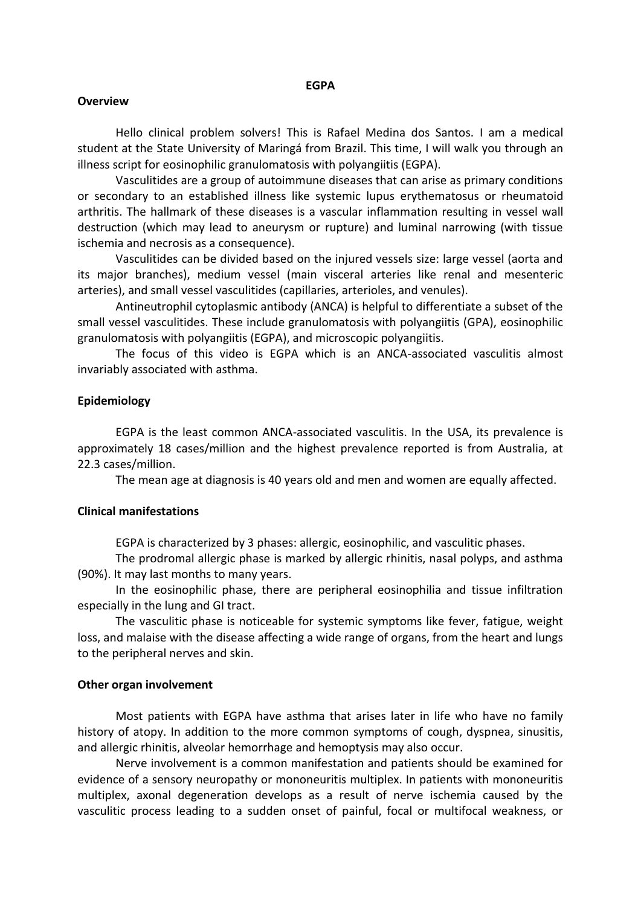# **Overview**

Hello clinical problem solvers! This is Rafael Medina dos Santos. I am a medical student at the State University of Maringá from Brazil. This time, I will walk you through an illness script for eosinophilic granulomatosis with polyangiitis (EGPA).

Vasculitides are a group of autoimmune diseases that can arise as primary conditions or secondary to an established illness like systemic lupus erythematosus or rheumatoid arthritis. The hallmark of these diseases is a vascular inflammation resulting in vessel wall destruction (which may lead to aneurysm or rupture) and luminal narrowing (with tissue ischemia and necrosis as a consequence).

Vasculitides can be divided based on the injured vessels size: large vessel (aorta and its major branches), medium vessel (main visceral arteries like renal and mesenteric arteries), and small vessel vasculitides (capillaries, arterioles, and venules).

Antineutrophil cytoplasmic antibody (ANCA) is helpful to differentiate a subset of the small vessel vasculitides. These include granulomatosis with polyangiitis (GPA), eosinophilic granulomatosis with polyangiitis (EGPA), and microscopic polyangiitis.

The focus of this video is EGPA which is an ANCA-associated vasculitis almost invariably associated with asthma.

### **Epidemiology**

EGPA is the least common ANCA-associated vasculitis. In the USA, its prevalence is approximately 18 cases/million and the highest prevalence reported is from Australia, at 22.3 cases/million.

The mean age at diagnosis is 40 years old and men and women are equally affected.

### **Clinical manifestations**

EGPA is characterized by 3 phases: allergic, eosinophilic, and vasculitic phases.

The prodromal allergic phase is marked by allergic rhinitis, nasal polyps, and asthma (90%). It may last months to many years.

In the eosinophilic phase, there are peripheral eosinophilia and tissue infiltration especially in the lung and GI tract.

The vasculitic phase is noticeable for systemic symptoms like fever, fatigue, weight loss, and malaise with the disease affecting a wide range of organs, from the heart and lungs to the peripheral nerves and skin.

#### **Other organ involvement**

Most patients with EGPA have asthma that arises later in life who have no family history of atopy. In addition to the more common symptoms of cough, dyspnea, sinusitis, and allergic rhinitis, alveolar hemorrhage and hemoptysis may also occur.

Nerve involvement is a common manifestation and patients should be examined for evidence of a sensory neuropathy or mononeuritis multiplex. In patients with mononeuritis multiplex, axonal degeneration develops as a result of nerve ischemia caused by the vasculitic process leading to a sudden onset of painful, focal or multifocal weakness, or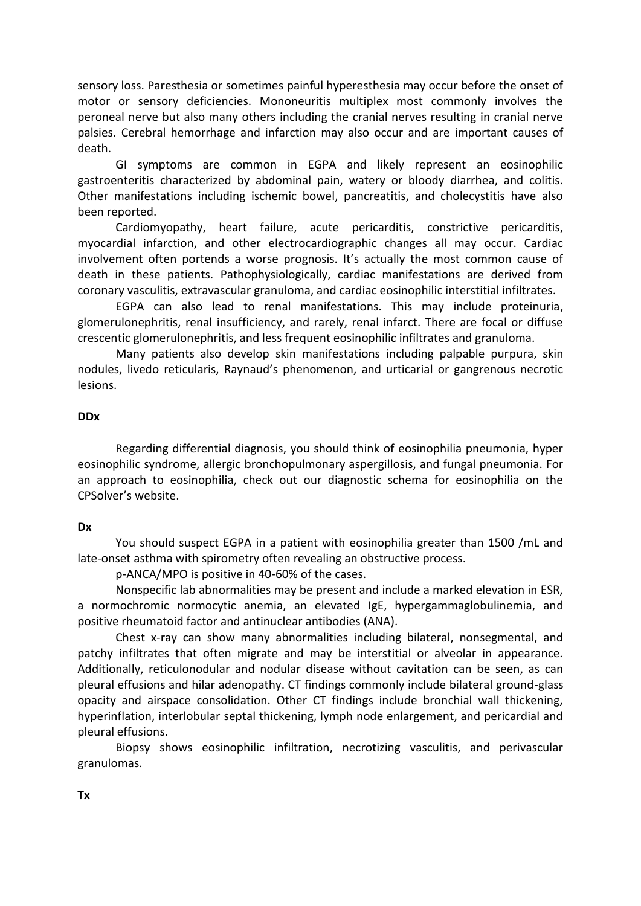sensory loss. Paresthesia or sometimes painful hyperesthesia may occur before the onset of motor or sensory deficiencies. Mononeuritis multiplex most commonly involves the peroneal nerve but also many others including the cranial nerves resulting in cranial nerve palsies. Cerebral hemorrhage and infarction may also occur and are important causes of death.

GI symptoms are common in EGPA and likely represent an eosinophilic gastroenteritis characterized by abdominal pain, watery or bloody diarrhea, and colitis. Other manifestations including ischemic bowel, pancreatitis, and cholecystitis have also been reported.

Cardiomyopathy, heart failure, acute pericarditis, constrictive pericarditis, myocardial infarction, and other electrocardiographic changes all may occur. Cardiac involvement often portends a worse prognosis. It's actually the most common cause of death in these patients. Pathophysiologically, cardiac manifestations are derived from coronary vasculitis, extravascular granuloma, and cardiac eosinophilic interstitial infiltrates.

EGPA can also lead to renal manifestations. This may include proteinuria, glomerulonephritis, renal insufficiency, and rarely, renal infarct. There are focal or diffuse crescentic glomerulonephritis, and less frequent eosinophilic infiltrates and granuloma.

Many patients also develop skin manifestations including palpable purpura, skin nodules, livedo reticularis, Raynaud's phenomenon, and urticarial or gangrenous necrotic lesions.

# **DDx**

Regarding differential diagnosis, you should think of eosinophilia pneumonia, hyper eosinophilic syndrome, allergic bronchopulmonary aspergillosis, and fungal pneumonia. For an approach to eosinophilia, check out our diagnostic schema for eosinophilia on the CPSolver's website.

# **Dx**

You should suspect EGPA in a patient with eosinophilia greater than 1500 /mL and late-onset asthma with spirometry often revealing an obstructive process.

p-ANCA/MPO is positive in 40-60% of the cases.

Nonspecific lab abnormalities may be present and include a marked elevation in ESR, a normochromic normocytic anemia, an elevated IgE, hypergammaglobulinemia, and positive rheumatoid factor and antinuclear antibodies (ANA).

Chest x-ray can show many abnormalities including bilateral, nonsegmental, and patchy infiltrates that often migrate and may be interstitial or alveolar in appearance. Additionally, reticulonodular and nodular disease without cavitation can be seen, as can pleural effusions and hilar adenopathy. CT findings commonly include bilateral ground-glass opacity and airspace consolidation. Other CT findings include bronchial wall thickening, hyperinflation, interlobular septal thickening, lymph node enlargement, and pericardial and pleural effusions.

Biopsy shows eosinophilic infiltration, necrotizing vasculitis, and perivascular granulomas.